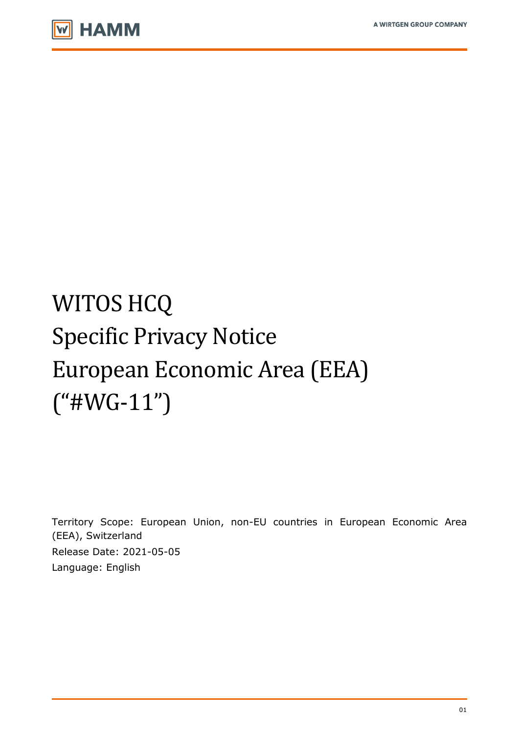

# WITOS HCQ Specific Privacy Notice European Economic Area (EEA)  $("$ #WG-11")

Territory Scope: European Union, non-EU countries in European Economic Area (EEA), Switzerland Release Date: 2021-05-05 Language: English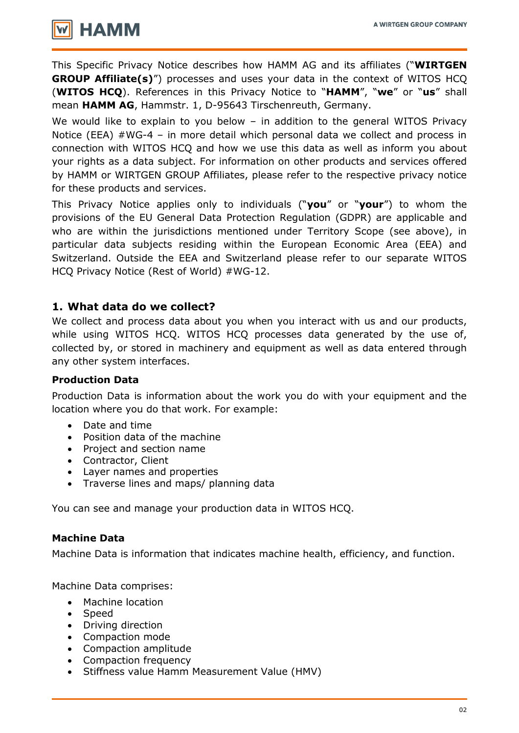

This Specific Privacy Notice describes how HAMM AG and its affiliates ("**WIRTGEN GROUP Affiliate(s)**") processes and uses your data in the context of WITOS HCQ (**WITOS HCQ**). References in this Privacy Notice to "**HAMM**", "**we**" or "**us**" shall mean **HAMM AG**, Hammstr. 1, D-95643 Tirschenreuth, Germany.

We would like to explain to you below – in addition to the general WITOS Privacy Notice (EEA) #WG-4 – in more detail which personal data we collect and process in connection with WITOS HCQ and how we use this data as well as inform you about your rights as a data subject. For information on other products and services offered by HAMM or WIRTGEN GROUP Affiliates, please refer to the respective privacy notice for these products and services.

This Privacy Notice applies only to individuals ("**you**" or "**your**") to whom the provisions of the EU General Data Protection Regulation (GDPR) are applicable and who are within the jurisdictions mentioned under Territory Scope (see above), in particular data subjects residing within the European Economic Area (EEA) and Switzerland. Outside the EEA and Switzerland please refer to our separate WITOS HCQ Privacy Notice (Rest of World) #WG-12.

## **1. What data do we collect?**

We collect and process data about you when you interact with us and our products, while using WITOS HCQ. WITOS HCQ processes data generated by the use of, collected by, or stored in machinery and equipment as well as data entered through any other system interfaces.

## **Production Data**

Production Data is information about the work you do with your equipment and the location where you do that work. For example:

- Date and time
- Position data of the machine
- Project and section name
- Contractor, Client
- Layer names and properties
- Traverse lines and maps/ planning data

You can see and manage your production data in WITOS HCQ.

## **Machine Data**

Machine Data is information that indicates machine health, efficiency, and function.

Machine Data comprises:

- Machine location
- Speed
- Driving direction
- Compaction mode
- Compaction amplitude
- Compaction frequency
- Stiffness value Hamm Measurement Value (HMV)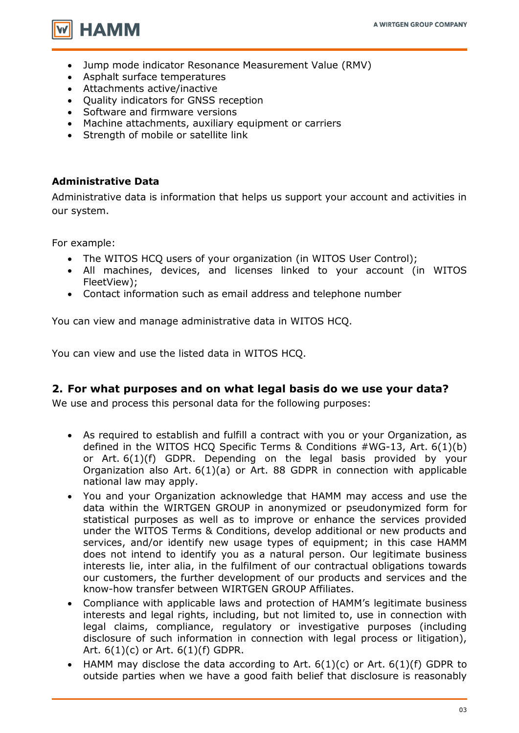

- Jump mode indicator Resonance Measurement Value (RMV)
- Asphalt surface temperatures
- Attachments active/inactive
- Quality indicators for GNSS reception
- Software and firmware versions
- Machine attachments, auxiliary equipment or carriers
- Strength of mobile or satellite link

## **Administrative Data**

Administrative data is information that helps us support your account and activities in our system.

For example:

- The WITOS HCQ users of your organization (in WITOS User Control);
- All machines, devices, and licenses linked to your account (in WITOS FleetView);
- Contact information such as email address and telephone number

You can view and manage administrative data in WITOS HCQ.

You can view and use the listed data in WITOS HCQ.

## **2. For what purposes and on what legal basis do we use your data?**

We use and process this personal data for the following purposes:

- As required to establish and fulfill a contract with you or your Organization, as defined in the WITOS HCO Specific Terms & Conditions  $\#WG-13$ , Art.  $6(1)(b)$ or Art. 6(1)(f) GDPR. Depending on the legal basis provided by your Organization also Art. 6(1)(a) or Art. 88 GDPR in connection with applicable national law may apply.
- You and your Organization acknowledge that HAMM may access and use the data within the WIRTGEN GROUP in anonymized or pseudonymized form for statistical purposes as well as to improve or enhance the services provided under the WITOS Terms & Conditions, develop additional or new products and services, and/or identify new usage types of equipment; in this case HAMM does not intend to identify you as a natural person. Our legitimate business interests lie, inter alia, in the fulfilment of our contractual obligations towards our customers, the further development of our products and services and the know-how transfer between WIRTGEN GROUP Affiliates.
- Compliance with applicable laws and protection of HAMM's legitimate business interests and legal rights, including, but not limited to, use in connection with legal claims, compliance, regulatory or investigative purposes (including disclosure of such information in connection with legal process or litigation), Art. 6(1)(c) or Art. 6(1)(f) GDPR.
- HAMM may disclose the data according to Art.  $6(1)(c)$  or Art.  $6(1)(f)$  GDPR to outside parties when we have a good faith belief that disclosure is reasonably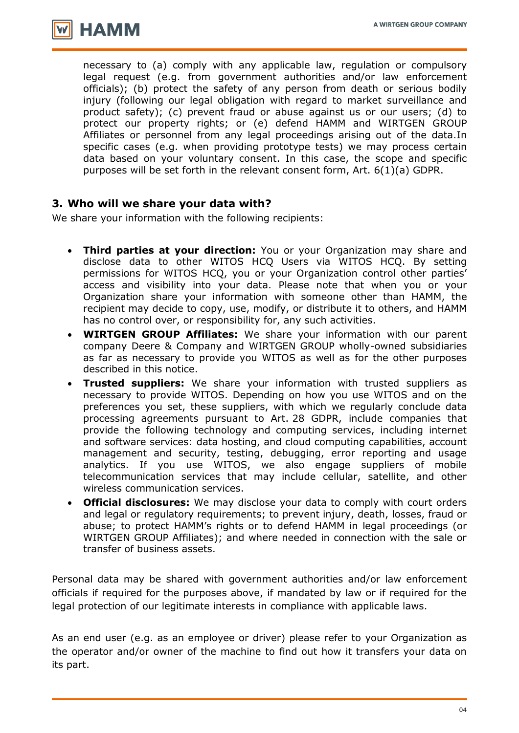

necessary to (a) comply with any applicable law, regulation or compulsory legal request (e.g. from government authorities and/or law enforcement officials); (b) protect the safety of any person from death or serious bodily injury (following our legal obligation with regard to market surveillance and product safety); (c) prevent fraud or abuse against us or our users; (d) to protect our property rights; or (e) defend HAMM and WIRTGEN GROUP Affiliates or personnel from any legal proceedings arising out of the data.In specific cases (e.g. when providing prototype tests) we may process certain data based on your voluntary consent. In this case, the scope and specific purposes will be set forth in the relevant consent form, Art. 6(1)(a) GDPR.

## **3. Who will we share your data with?**

We share your information with the following recipients:

- **Third parties at your direction:** You or your Organization may share and disclose data to other WITOS HCQ Users via WITOS HCQ. By setting permissions for WITOS HCQ, you or your Organization control other parties' access and visibility into your data. Please note that when you or your Organization share your information with someone other than HAMM, the recipient may decide to copy, use, modify, or distribute it to others, and HAMM has no control over, or responsibility for, any such activities.
- **WIRTGEN GROUP Affiliates:** We share your information with our parent company Deere & Company and WIRTGEN GROUP wholly-owned subsidiaries as far as necessary to provide you WITOS as well as for the other purposes described in this notice.
- **Trusted suppliers:** We share your information with trusted suppliers as necessary to provide WITOS. Depending on how you use WITOS and on the preferences you set, these suppliers, with which we regularly conclude data processing agreements pursuant to Art. 28 GDPR, include companies that provide the following technology and computing services, including internet and software services: data hosting, and cloud computing capabilities, account management and security, testing, debugging, error reporting and usage analytics. If you use WITOS, we also engage suppliers of mobile telecommunication services that may include cellular, satellite, and other wireless communication services.
- **Official disclosures:** We may disclose your data to comply with court orders and legal or regulatory requirements; to prevent injury, death, losses, fraud or abuse; to protect HAMM's rights or to defend HAMM in legal proceedings (or WIRTGEN GROUP Affiliates); and where needed in connection with the sale or transfer of business assets.

Personal data may be shared with government authorities and/or law enforcement officials if required for the purposes above, if mandated by law or if required for the legal protection of our legitimate interests in compliance with applicable laws.

As an end user (e.g. as an employee or driver) please refer to your Organization as the operator and/or owner of the machine to find out how it transfers your data on its part.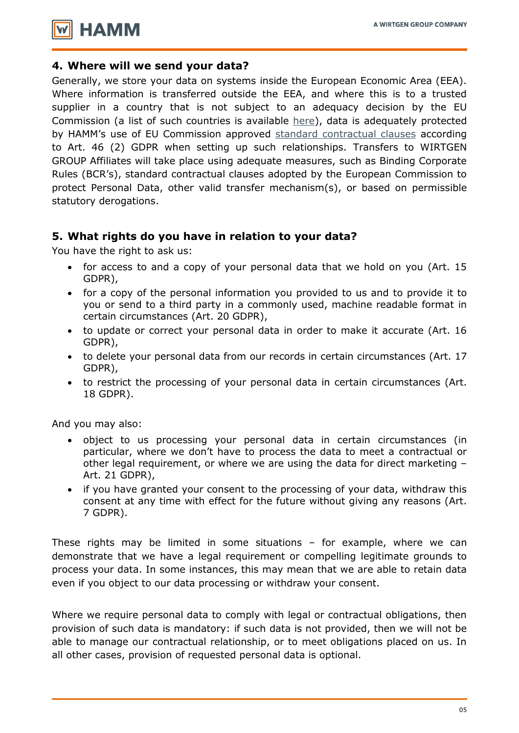

#### **4. Where will we send your data?**

Generally, we store your data on systems inside the European Economic Area (EEA). Where information is transferred outside the EEA, and where this is to a trusted supplier in a country that is not subject to an adequacy decision by the EU Commission (a list of such countries is available [here\)](https://ec.europa.eu/info/law/law-topic/data-protection/data-transfers-outside-eu/adequacy-protection-personal-data-non-eu-countries), data is adequately protected by HAMM's use of EU Commission approved [standard contractual clauses](https://ec.europa.eu/info/law/law-topic/data-protection/data-transfers-outside-eu/model-contracts-transfer-personal-data-third-countries) according to Art. 46 (2) GDPR when setting up such relationships. Transfers to WIRTGEN GROUP Affiliates will take place using adequate measures, such as Binding Corporate Rules (BCR's), standard contractual clauses adopted by the European Commission to protect Personal Data, other valid transfer mechanism(s), or based on permissible statutory derogations.

## **5. What rights do you have in relation to your data?**

You have the right to ask us:

- for access to and a copy of your personal data that we hold on you (Art. 15 GDPR),
- for a copy of the personal information you provided to us and to provide it to you or send to a third party in a commonly used, machine readable format in certain circumstances (Art. 20 GDPR),
- to update or correct your personal data in order to make it accurate (Art. 16 GDPR),
- to delete your personal data from our records in certain circumstances (Art. 17 GDPR),
- to restrict the processing of your personal data in certain circumstances (Art. 18 GDPR).

And you may also:

- object to us processing your personal data in certain circumstances (in particular, where we don't have to process the data to meet a contractual or other legal requirement, or where we are using the data for direct marketing – Art. 21 GDPR),
- if you have granted your consent to the processing of your data, withdraw this consent at any time with effect for the future without giving any reasons (Art. 7 GDPR).

These rights may be limited in some situations – for example, where we can demonstrate that we have a legal requirement or compelling legitimate grounds to process your data. In some instances, this may mean that we are able to retain data even if you object to our data processing or withdraw your consent.

Where we require personal data to comply with legal or contractual obligations, then provision of such data is mandatory: if such data is not provided, then we will not be able to manage our contractual relationship, or to meet obligations placed on us. In all other cases, provision of requested personal data is optional.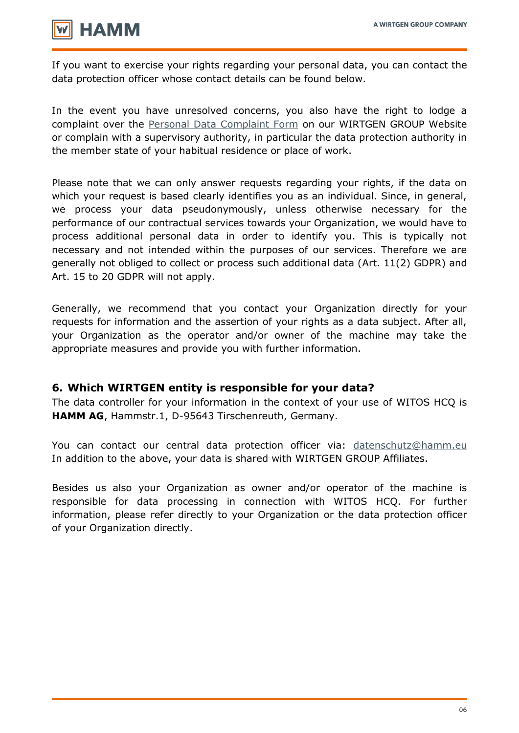

If you want to exercise your rights regarding your personal data, you can contact the data protection officer whose contact details can be found below.

In the event you have unresolved concerns, you also have the right to lodge a complaint over the [Personal Data Complaint Form](https://www.wirtgen-group.com/en-de/legal/privacy-policy/#398024) on our WIRTGEN GROUP Website or complain with a supervisory authority, in particular the data protection authority in the member state of your habitual residence or place of work.

Please note that we can only answer requests regarding your rights, if the data on which your request is based clearly identifies you as an individual. Since, in general, we process your data pseudonymously, unless otherwise necessary for the performance of our contractual services towards your Organization, we would have to process additional personal data in order to identify you. This is typically not necessary and not intended within the purposes of our services. Therefore we are generally not obliged to collect or process such additional data (Art. 11(2) GDPR) and Art. 15 to 20 GDPR will not apply.

Generally, we recommend that you contact your Organization directly for your requests for information and the assertion of your rights as a data subject. After all, your Organization as the operator and/or owner of the machine may take the appropriate measures and provide you with further information.

## **6. Which WIRTGEN entity is responsible for your data?**

The data controller for your information in the context of your use of WITOS HCQ is **HAMM AG**, Hammstr.1, D-95643 Tirschenreuth, Germany.

You can contact our central data protection officer via: [datenschutz@hamm.eu](mailto:datenschutz@hamm.eu) In addition to the above, your data is shared with WIRTGEN GROUP Affiliates.

Besides us also your Organization as owner and/or operator of the machine is responsible for data processing in connection with WITOS HCQ. For further information, please refer directly to your Organization or the data protection officer of your Organization directly.